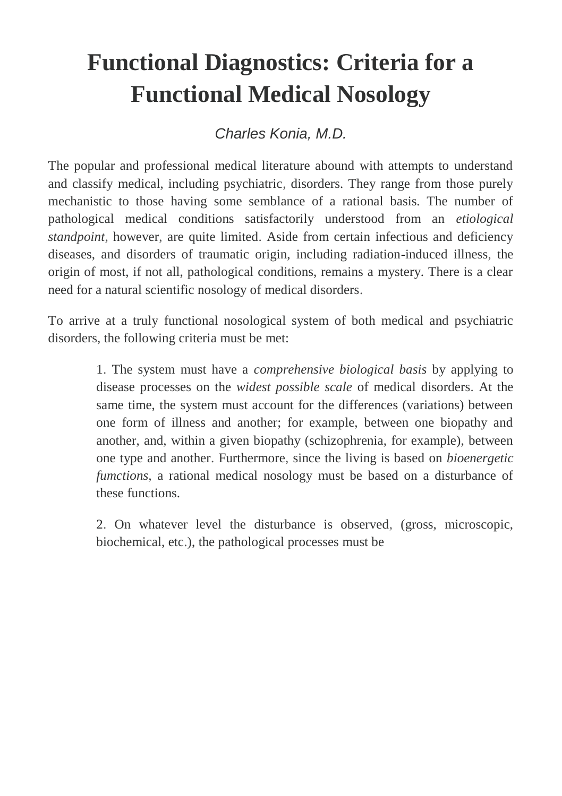# **Functional Diagnostics: Criteria for a Functional Medical Nosology**

*Charles Konia, M.D.*

The popular and professional medical literature abound with attempts to understand and classify medical, including psychiatric, disorders. They range from those purely mechanistic to those having some semblance of a rational basis. The number of pathological medical conditions satisfactorily understood from an *etiological standpoint*, however, are quite limited. Aside from certain infectious and deficiency diseases, and disorders of traumatic origin, including radiation-induced illness, the origin of most, if not all, pathological conditions, remains a mystery. There is a clear need for a natural scientific nosology of medical disorders.

To arrive at a truly functional nosological system of both medical and psychiatric disorders, the following criteria must be met:

> 1. The system must have a *comprehensive biological basis* by applying to disease processes on the *widest possible scale* of medical disorders. At the same time, the system must account for the differences (variations) between one form of illness and another; for example, between one biopathy and another, and, within a given biopathy (schizophrenia, for example), between one type and another. Furthermore, since the living is based on *bioenergetic fumctions,* a rational medical nosology must be based on a disturbance of these functions.

> 2. On whatever level the disturbance is observed, (gross, microscopic, biochemical, etc.), the pathological processes must be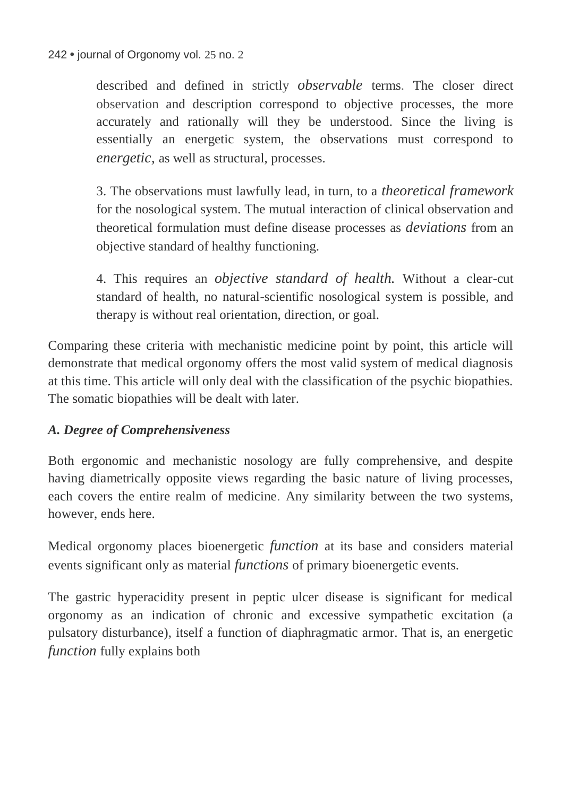described and defined in strictly *observable* terms. The closer direct observation and description correspond to objective processes, the more accurately and rationally will they be understood. Since the living is essentially an energetic system, the observations must correspond to *energetic,* as well as structural, processes.

3. The observations must lawfully lead, in turn, to a *theoretical framework*  for the nosological system. The mutual interaction of clinical observation and theoretical formulation must define disease processes as *deviations* from an objective standard of healthy functioning.

4. This requires an *objective standard of health.* Without a clear-cut standard of health, no natural-scientific nosological system is possible, and therapy is without real orientation, direction, or goal.

Comparing these criteria with mechanistic medicine point by point, this article will demonstrate that medical orgonomy offers the most valid system of medical diagnosis at this time. This article will only deal with the classification of the psychic biopathies. The somatic biopathies will be dealt with later.

## *A. Degree of Comprehensiveness*

Both ergonomic and mechanistic nosology are fully comprehensive, and despite having diametrically opposite views regarding the basic nature of living processes, each covers the entire realm of medicine. Any similarity between the two systems, however, ends here.

Medical orgonomy places bioenergetic *function* at its base and considers material events significant only as material *functions* of primary bioenergetic events.

The gastric hyperacidity present in peptic ulcer disease is significant for medical orgonomy as an indication of chronic and excessive sympathetic excitation (a pulsatory disturbance), itself a function of diaphragmatic armor. That is, an energetic *function* fully explains both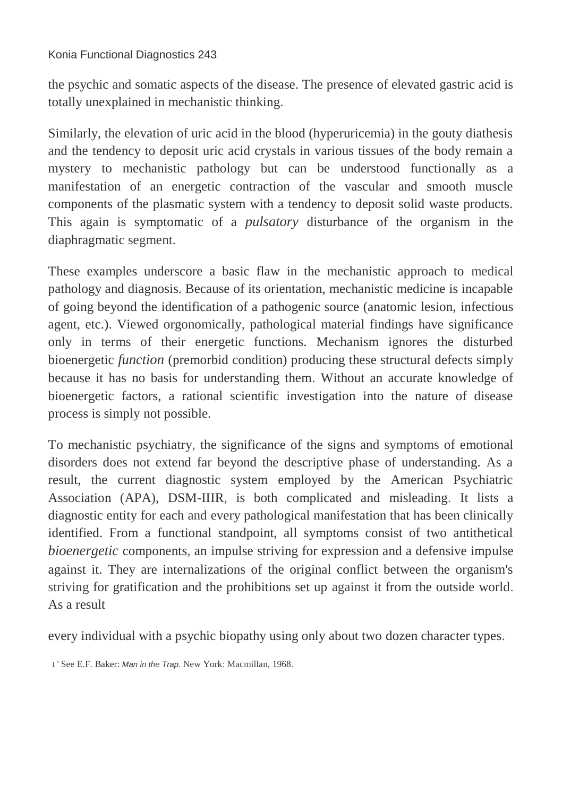#### Konia Functional Diagnostics 243

the psychic and somatic aspects of the disease. The presence of elevated gastric acid is totally unexplained in mechanistic thinking.

Similarly, the elevation of uric acid in the blood (hyperuricemia) in the gouty diathesis and the tendency to deposit uric acid crystals in various tissues of the body remain a mystery to mechanistic pathology but can be understood functionally as a manifestation of an energetic contraction of the vascular and smooth muscle components of the plasmatic system with a tendency to deposit solid waste products. This again is symptomatic of a *pulsatory* disturbance of the organism in the diaphragmatic segment.

These examples underscore a basic flaw in the mechanistic approach to medical pathology and diagnosis. Because of its orientation, mechanistic medicine is incapable of going beyond the identification of a pathogenic source (anatomic lesion, infectious agent, etc.). Viewed orgonomically, pathological material findings have significance only in terms of their energetic functions. Mechanism ignores the disturbed bioenergetic *function* (premorbid condition) producing these structural defects simply because it has no basis for understanding them. Without an accurate knowledge of bioenergetic factors, a rational scientific investigation into the nature of disease process is simply not possible.

To mechanistic psychiatry, the significance of the signs and symptoms of emotional disorders does not extend far beyond the descriptive phase of understanding. As a result, the current diagnostic system employed by the American Psychiatric Association (APA), DSM-IIIR, is both complicated and misleading. It lists a diagnostic entity for each and every pathological manifestation that has been clinically identified. From a functional standpoint, all symptoms consist of two antithetical *bioenergetic* components, an impulse striving for expression and a defensive impulse against it. They are internalizations of the original conflict between the organism's striving for gratification and the prohibitions set up against it from the outside world. As a result

every individual with a psychic biopathy using only about two dozen character types.

1 ' See E.F. Baker: *Man in the Trap.* New York: Macmillan, 1968.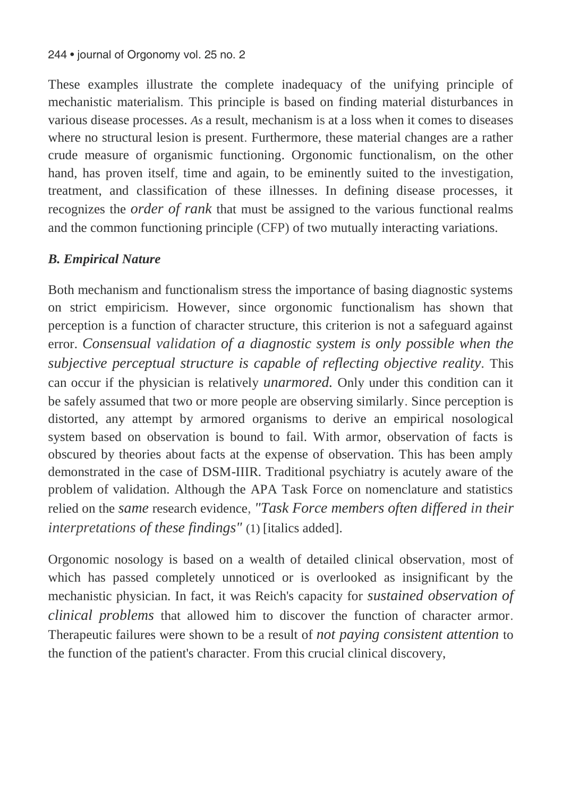These examples illustrate the complete inadequacy of the unifying principle of mechanistic materialism. This principle is based on finding material disturbances in various disease processes. *As* a result, mechanism is at a loss when it comes to diseases where no structural lesion is present. Furthermore, these material changes are a rather crude measure of organismic functioning. Orgonomic functionalism, on the other hand, has proven itself, time and again, to be eminently suited to the investigation, treatment, and classification of these illnesses. In defining disease processes, it recognizes the *order of rank* that must be assigned to the various functional realms and the common functioning principle (CFP) of two mutually interacting variations.

## *B. Empirical Nature*

Both mechanism and functionalism stress the importance of basing diagnostic systems on strict empiricism. However, since orgonomic functionalism has shown that perception is a function of character structure, this criterion is not a safeguard against error. *Consensual validation of a diagnostic system is only possible when the subjective perceptual structure is capable of reflecting objective reality.* This can occur if the physician is relatively *unarmored.* Only under this condition can it be safely assumed that two or more people are observing similarly. Since perception is distorted, any attempt by armored organisms to derive an empirical nosological system based on observation is bound to fail. With armor, observation of facts is obscured by theories about facts at the expense of observation. This has been amply demonstrated in the case of DSM-IIIR. Traditional psychiatry is acutely aware of the problem of validation. Although the APA Task Force on nomenclature and statistics relied on the *same* research evidence, *"Task Force members often differed in their interpretations of these findings"* (1) [italics added].

Orgonomic nosology is based on a wealth of detailed clinical observation, most of which has passed completely unnoticed or is overlooked as insignificant by the mechanistic physician. In fact, it was Reich's capacity for *sustained observation of clinical problems* that allowed him to discover the function of character armor. Therapeutic failures were shown to be a result of *not paying consistent attention* to the function of the patient's character. From this crucial clinical discovery,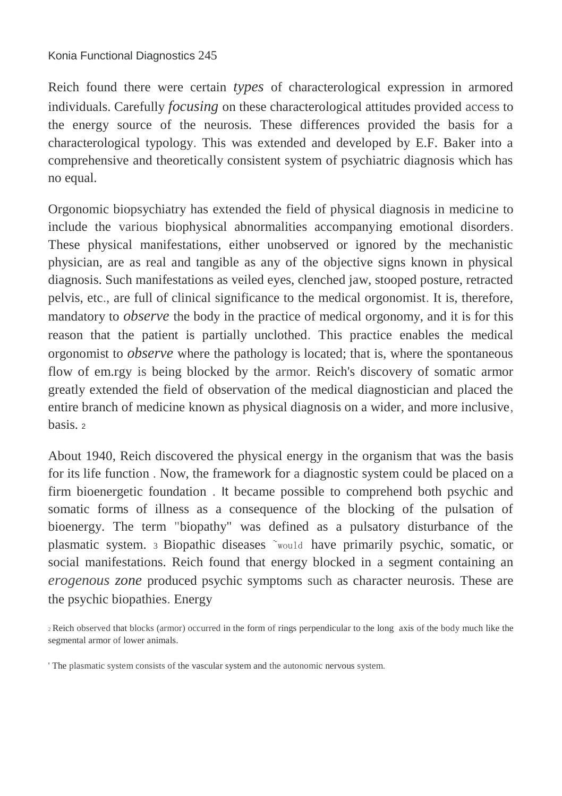Reich found there were certain *types* of characterological expression in armored individuals. Carefully *focusing* on these characterological attitudes provided access to the energy source of the neurosis. These differences provided the basis for a characterological typology. This was extended and developed by E.F. Baker into a comprehensive and theoretically consistent system of psychiatric diagnosis which has no equal.

Orgonomic biopsychiatry has extended the field of physical diagnosis in medicine to include the various biophysical abnormalities accompanying emotional disorders. These physical manifestations, either unobserved or ignored by the mechanistic physician, are as real and tangible as any of the objective signs known in physical diagnosis. Such manifestations as veiled eyes, clenched jaw, stooped posture, retracted pelvis, etc., are full of clinical significance to the medical orgonomist. It is, therefore, mandatory to *observe* the body in the practice of medical orgonomy, and it is for this reason that the patient is partially unclothed. This practice enables the medical orgonomist to *observe* where the pathology is located; that is, where the spontaneous flow of em.rgy is being blocked by the armor. Reich's discovery of somatic armor greatly extended the field of observation of the medical diagnostician and placed the entire branch of medicine known as physical diagnosis on a wider, and more inclusive, basis.

About 1940, Reich discovered the physical energy in the organism that was the basis for its life function . Now, the framework for a diagnostic system could be placed on a firm bioenergetic foundation . It became possible to comprehend both psychic and somatic forms of illness as a consequence of the blocking of the pulsation of bioenergy. The term "biopathy" was defined as a pulsatory disturbance of the plasmatic system. 3 Biopathic diseases ~would have primarily psychic, somatic, or social manifestations. Reich found that energy blocked in a segment containing an *erogenous zone* produced psychic symptoms such as character neurosis. These are the psychic biopathies. Energy

<sup>2</sup>Reich observed that blocks (armor) occurred in the form of rings perpendicular to the long axis of the body much like the segmental armor of lower animals.

<sup>&#</sup>x27; The plasmatic system consists of the vascular system and the autonomic nervous system.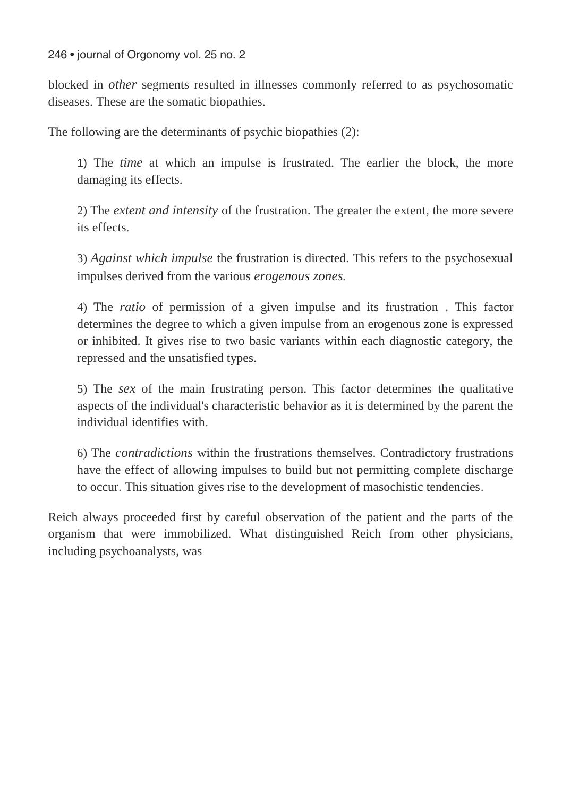blocked in *other* segments resulted in illnesses commonly referred to as psychosomatic diseases. These are the somatic biopathies.

The following are the determinants of psychic biopathies (2):

1) The *time* at which an impulse is frustrated. The earlier the block, the more damaging its effects.

2) The *extent and intensity* of the frustration. The greater the extent, the more severe its effects.

3) *Against which impulse* the frustration is directed. This refers to the psychosexual impulses derived from the various *erogenous zones.* 

4) The *ratio* of permission of a given impulse and its frustration . This factor determines the degree to which a given impulse from an erogenous zone is expressed or inhibited. It gives rise to two basic variants within each diagnostic category, the repressed and the unsatisfied types.

5) The *sex* of the main frustrating person. This factor determines the qualitative aspects of the individual's characteristic behavior as it is determined by the parent the individual identifies with.

6) The *contradictions* within the frustrations themselves. Contradictory frustrations have the effect of allowing impulses to build but not permitting complete discharge to occur. This situation gives rise to the development of masochistic tendencies.

Reich always proceeded first by careful observation of the patient and the parts of the organism that were immobilized. What distinguished Reich from other physicians, including psychoanalysts, was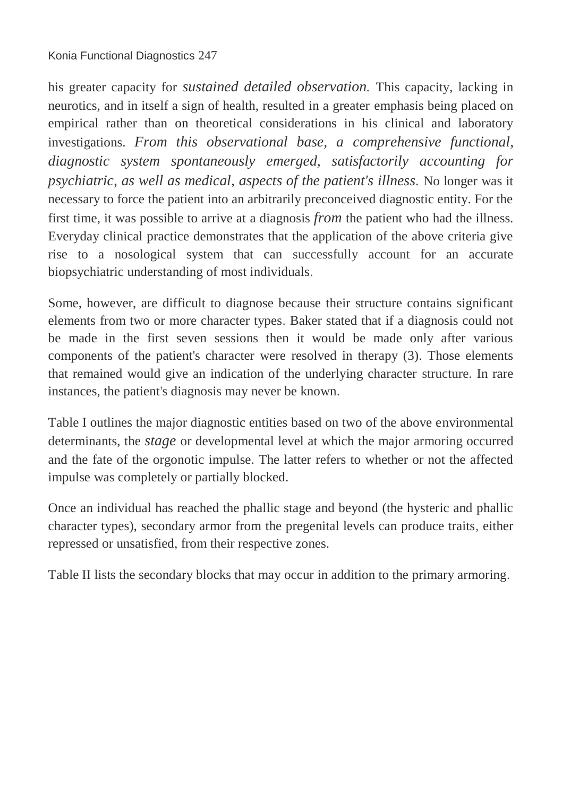his greater capacity for *sustained detailed observation.* This capacity, lacking in neurotics, and in itself a sign of health, resulted in a greater emphasis being placed on empirical rather than on theoretical considerations in his clinical and laboratory investigations. *From this observational base, a comprehensive functional, diagnostic system spontaneously emerged, satisfactorily accounting for psychiatric, as well as medical, aspects of the patient's illness.* No longer was it necessary to force the patient into an arbitrarily preconceived diagnostic entity. For the first time, it was possible to arrive at a diagnosis *from* the patient who had the illness. Everyday clinical practice demonstrates that the application of the above criteria give rise to a nosological system that can successfully account for an accurate biopsychiatric understanding of most individuals.

Some, however, are difficult to diagnose because their structure contains significant elements from two or more character types. Baker stated that if a diagnosis could not be made in the first seven sessions then it would be made only after various components of the patient's character were resolved in therapy (3). Those elements that remained would give an indication of the underlying character structure. In rare instances, the patient's diagnosis may never be known.

Table I outlines the major diagnostic entities based on two of the above environmental determinants, the *stage* or developmental level at which the major armoring occurred and the fate of the orgonotic impulse. The latter refers to whether or not the affected impulse was completely or partially blocked.

Once an individual has reached the phallic stage and beyond (the hysteric and phallic character types), secondary armor from the pregenital levels can produce traits, either repressed or unsatisfied, from their respective zones.

Table II lists the secondary blocks that may occur in addition to the primary armoring.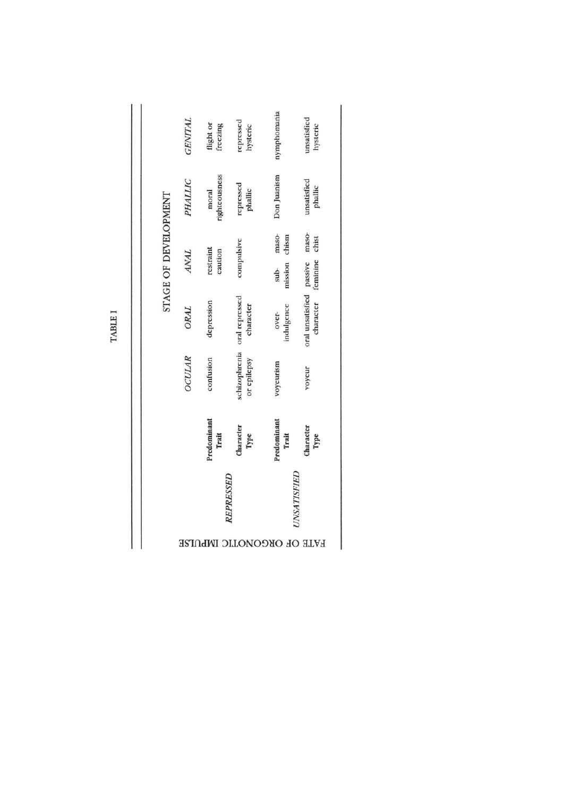|                      | <b>ISE</b>     | REPRESSED<br>ıdWI      | <b>NOOK</b><br>ЫC                         | <b>UNSATISFIED</b>                | <b>FATE OF</b>                        |
|----------------------|----------------|------------------------|-------------------------------------------|-----------------------------------|---------------------------------------|
|                      |                | Predominant<br>Trait   | Character<br>Type                         | Predominant<br>Trait              | Character<br>Type                     |
|                      | <b>OCULAR</b>  | confusion              | or epilepsy                               | voyeurism                         | voyeur                                |
|                      | ORAL           | depression             | schizophrenia oral repressed<br>character | indulgence<br>over-               | oral unsatisfied passive<br>character |
| STAGE OF DEVELOPMENT | <b>ANAL</b>    | restraint<br>caution   | compulsive                                | maso-<br>chism<br>mission<br>sub- | maso-<br>chist<br>feminine            |
|                      | PHALLIC        | rightcousness<br>moral | repressed<br>phallic                      | Don Juanism                       | unsatisfied<br>phallic                |
|                      | <b>GENITAL</b> | flight or<br>freezing  | repressed<br>hysteric                     | nymphomania                       | unsatisfied<br>hysteric               |

TABLE I

Ï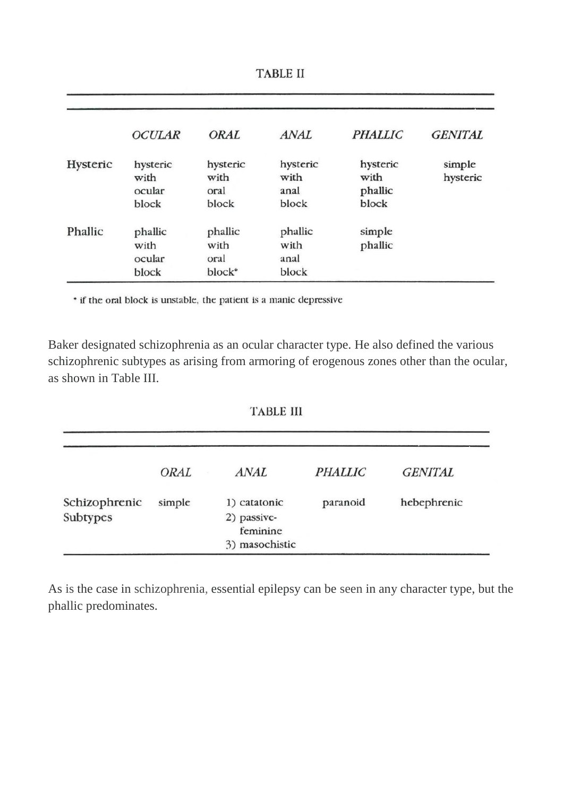|          | OCIJLAR                             | ORAL                                | <b>ANAL</b>                       | <b>PHALLIC</b>                       | <b>GENITAL</b>     |
|----------|-------------------------------------|-------------------------------------|-----------------------------------|--------------------------------------|--------------------|
| Hysteric | hysteric<br>with<br>ocular<br>block | hysteric<br>with<br>oral<br>block   | hysteric<br>with<br>anal<br>block | hysteric<br>with<br>phallic<br>block | simple<br>hysteric |
| Phallic  | phallic<br>with<br>ocular<br>block  | phallic<br>with<br>oral<br>$block*$ | phallic<br>with<br>anal<br>block  | simple<br>phallic                    |                    |

**TABLE II** 

\* if the oral block is unstable, the patient is a manic depressive

Baker designated schizophrenia as an ocular character type. He also defined the various schizophrenic subtypes as arising from armoring of erogenous zones other than the ocular, as shown in Table III.

#### **TABLE III**

|               | ORAL   | <b>ANAL</b>             | <b>PHALLIC</b> | <b>GENITAL</b> |
|---------------|--------|-------------------------|----------------|----------------|
| Schizophrenic | simple | 1) catatonic            | paranoid       | hebephrenic    |
| Subtypes      |        | 2) passive-<br>feminine |                |                |
|               |        | 3) masochistic          |                |                |

As is the case in schizophrenia, essential epilepsy can be seen in any character type, but the phallic predominates.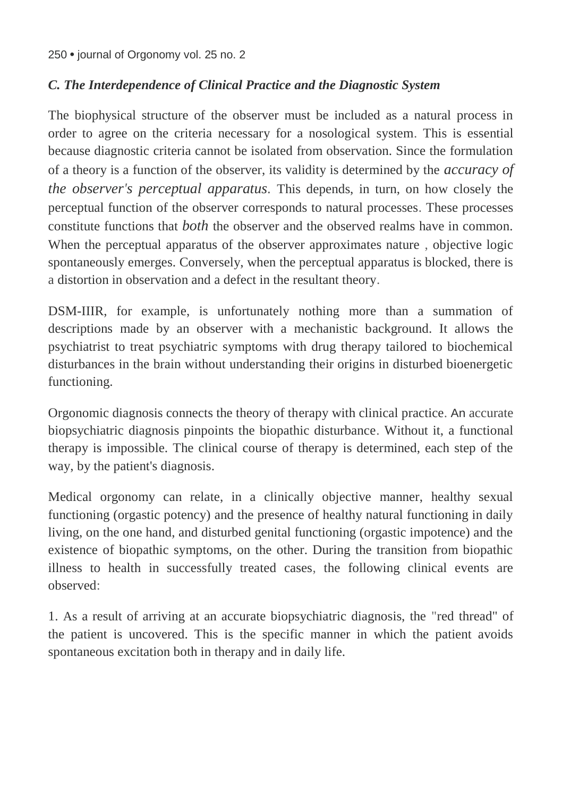## *C. The Interdependence of Clinical Practice and the Diagnostic System*

The biophysical structure of the observer must be included as a natural process in order to agree on the criteria necessary for a nosological system. This is essential because diagnostic criteria cannot be isolated from observation. Since the formulation of a theory is a function of the observer, its validity is determined by the *accuracy of the observer's perceptual apparatus.* This depends, in turn, on how closely the perceptual function of the observer corresponds to natural processes. These processes constitute functions that *both* the observer and the observed realms have in common. When the perceptual apparatus of the observer approximates nature , objective logic spontaneously emerges. Conversely, when the perceptual apparatus is blocked, there is a distortion in observation and a defect in the resultant theory.

DSM-IIIR, for example, is unfortunately nothing more than a summation of descriptions made by an observer with a mechanistic background. It allows the psychiatrist to treat psychiatric symptoms with drug therapy tailored to biochemical disturbances in the brain without understanding their origins in disturbed bioenergetic functioning.

Orgonomic diagnosis connects the theory of therapy with clinical practice. An accurate biopsychiatric diagnosis pinpoints the biopathic disturbance. Without it, a functional therapy is impossible. The clinical course of therapy is determined, each step of the way, by the patient's diagnosis.

Medical orgonomy can relate, in a clinically objective manner, healthy sexual functioning (orgastic potency) and the presence of healthy natural functioning in daily living, on the one hand, and disturbed genital functioning (orgastic impotence) and the existence of biopathic symptoms, on the other. During the transition from biopathic illness to health in successfully treated cases, the following clinical events are observed:

1. As a result of arriving at an accurate biopsychiatric diagnosis, the "red thread" of the patient is uncovered. This is the specific manner in which the patient avoids spontaneous excitation both in therapy and in daily life.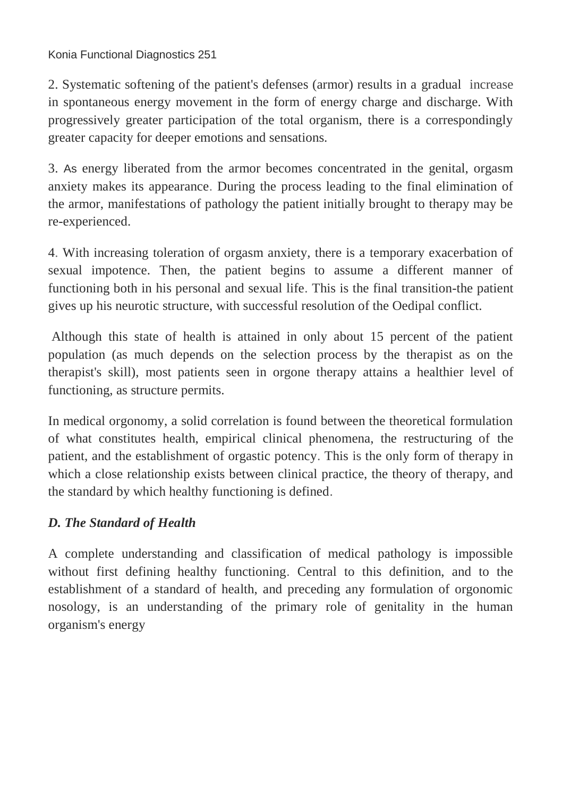Konia Functional Diagnostics 251

2. Systematic softening of the patient's defenses (armor) results in a gradual increase in spontaneous energy movement in the form of energy charge and discharge. With progressively greater participation of the total organism, there is a correspondingly greater capacity for deeper emotions and sensations.

3. As energy liberated from the armor becomes concentrated in the genital, orgasm anxiety makes its appearance. During the process leading to the final elimination of the armor, manifestations of pathology the patient initially brought to therapy may be re-experienced.

4. With increasing toleration of orgasm anxiety, there is a temporary exacerbation of sexual impotence. Then, the patient begins to assume a different manner of functioning both in his personal and sexual life. This is the final transition-the patient gives up his neurotic structure, with successful resolution of the Oedipal conflict.

Although this state of health is attained in only about 15 percent of the patient population (as much depends on the selection process by the therapist as on the therapist's skill), most patients seen in orgone therapy attains a healthier level of functioning, as structure permits.

In medical orgonomy, a solid correlation is found between the theoretical formulation of what constitutes health, empirical clinical phenomena, the restructuring of the patient, and the establishment of orgastic potency. This is the only form of therapy in which a close relationship exists between clinical practice, the theory of therapy, and the standard by which healthy functioning is defined.

## *D. The Standard of Health*

A complete understanding and classification of medical pathology is impossible without first defining healthy functioning. Central to this definition, and to the establishment of a standard of health, and preceding any formulation of orgonomic nosology, is an understanding of the primary role of genitality in the human organism's energy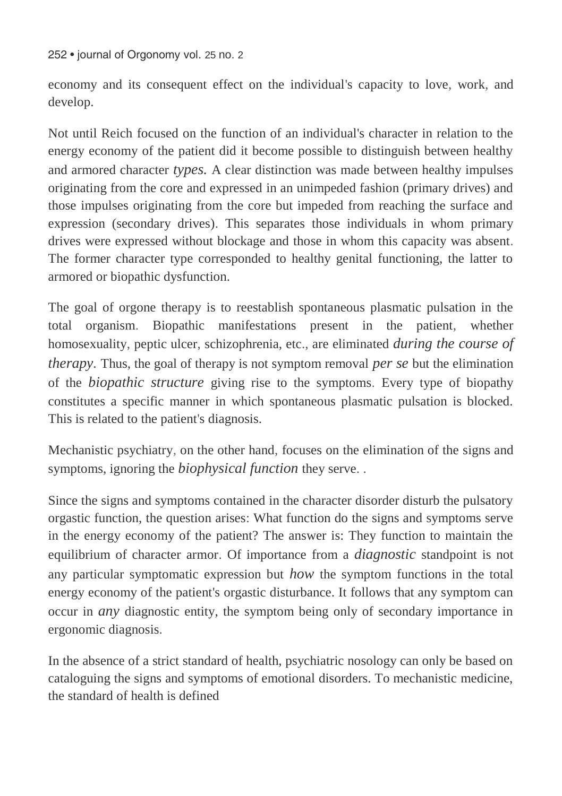economy and its consequent effect on the individual's capacity to love, work, and develop.

Not until Reich focused on the function of an individual's character in relation to the energy economy of the patient did it become possible to distinguish between healthy and armored character *types.* A clear distinction was made between healthy impulses originating from the core and expressed in an unimpeded fashion (primary drives) and those impulses originating from the core but impeded from reaching the surface and expression (secondary drives). This separates those individuals in whom primary drives were expressed without blockage and those in whom this capacity was absent. The former character type corresponded to healthy genital functioning, the latter to armored or biopathic dysfunction.

The goal of orgone therapy is to reestablish spontaneous plasmatic pulsation in the total organism. Biopathic manifestations present in the patient, whether homosexuality, peptic ulcer, schizophrenia, etc., are eliminated *during the course of therapy.* Thus, the goal of therapy is not symptom removal *per se* but the elimination of the *biopathic structure* giving rise to the symptoms. Every type of biopathy constitutes a specific manner in which spontaneous plasmatic pulsation is blocked. This is related to the patient's diagnosis.

Mechanistic psychiatry, on the other hand, focuses on the elimination of the signs and symptoms, ignoring the *biophysical function* they serve. .

Since the signs and symptoms contained in the character disorder disturb the pulsatory orgastic function, the question arises: What function do the signs and symptoms serve in the energy economy of the patient? The answer is: They function to maintain the equilibrium of character armor. Of importance from a *diagnostic* standpoint is not any particular symptomatic expression but *how* the symptom functions in the total energy economy of the patient's orgastic disturbance. It follows that any symptom can occur in *any* diagnostic entity, the symptom being only of secondary importance in ergonomic diagnosis.

In the absence of a strict standard of health, psychiatric nosology can only be based on cataloguing the signs and symptoms of emotional disorders. To mechanistic medicine, the standard of health is defined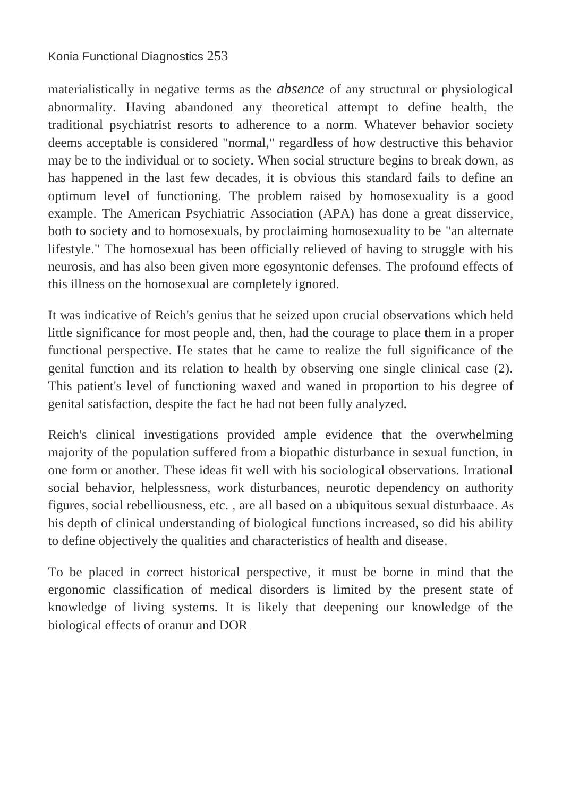### Konia Functional Diagnostics 253

materialistically in negative terms as the *absence* of any structural or physiological abnormality. Having abandoned any theoretical attempt to define health, the traditional psychiatrist resorts to adherence to a norm. Whatever behavior society deems acceptable is considered "normal," regardless of how destructive this behavior may be to the individual or to society. When social structure begins to break down, as has happened in the last few decades, it is obvious this standard fails to define an optimum level of functioning. The problem raised by homosexuality is a good example. The American Psychiatric Association (APA) has done a great disservice, both to society and to homosexuals, by proclaiming homosexuality to be "an alternate lifestyle." The homosexual has been officially relieved of having to struggle with his neurosis, and has also been given more egosyntonic defenses. The profound effects of this illness on the homosexual are completely ignored.

It was indicative of Reich's genius that he seized upon crucial observations which held little significance for most people and, then, had the courage to place them in a proper functional perspective. He states that he came to realize the full significance of the genital function and its relation to health by observing one single clinical case (2). This patient's level of functioning waxed and waned in proportion to his degree of genital satisfaction, despite the fact he had not been fully analyzed.

Reich's clinical investigations provided ample evidence that the overwhelming majority of the population suffered from a biopathic disturbance in sexual function, in one form or another. These ideas fit well with his sociological observations. Irrational social behavior, helplessness, work disturbances, neurotic dependency on authority figures, social rebelliousness, etc. , are all based on a ubiquitous sexual disturbaace. *As*  his depth of clinical understanding of biological functions increased, so did his ability to define objectively the qualities and characteristics of health and disease.

To be placed in correct historical perspective, it must be borne in mind that the ergonomic classification of medical disorders is limited by the present state of knowledge of living systems. It is likely that deepening our knowledge of the biological effects of oranur and DOR